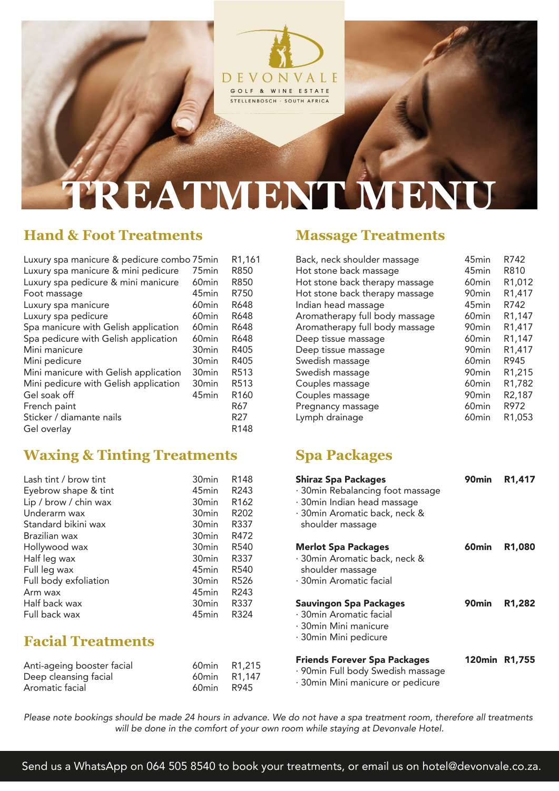

# **TREATMENT MEN**

## **Hand & Foot Treatments**

| Luxury spa manicure & pedicure combo 75min |                   | R1,161           |
|--------------------------------------------|-------------------|------------------|
| Luxury spa manicure & mini pedicure        | 75 <sub>min</sub> | R850             |
| Luxury spa pedicure & mini manicure        | 60 <sub>min</sub> | R850             |
| Foot massage                               | 45 <sub>min</sub> | R750             |
| Luxury spa manicure                        | 60 <sub>min</sub> | R648             |
| Luxury spa pedicure                        | 60 <sub>min</sub> | R648             |
| Spa manicure with Gelish application       | 60 <sub>min</sub> | R648             |
| Spa pedicure with Gelish application       | 60 <sub>min</sub> | R648             |
| Mini manicure                              | 30 <sub>min</sub> | R405             |
| Mini pedicure                              | 30 <sub>min</sub> | R405             |
| Mini manicure with Gelish application      | 30 <sub>min</sub> | R513             |
| Mini pedicure with Gelish application      | 30 <sub>min</sub> | R <sub>513</sub> |
| Gel soak off                               | 45 <sub>min</sub> | R <sub>160</sub> |
| French paint                               |                   | R67              |
| Sticker / diamante nails                   |                   | R27              |
| Gel overlay                                |                   | R <sub>148</sub> |

### **Waxing & Tinting Treatments Spa Packages**

| Lash tint / brow tint<br>Eyebrow shape & tint | 30 <sub>min</sub><br>45 <sub>min</sub> | R <sub>148</sub><br>R <sub>243</sub> |
|-----------------------------------------------|----------------------------------------|--------------------------------------|
| Lip / brow / chin wax                         | 30 <sub>min</sub>                      | R <sub>162</sub>                     |
| Underarm wax                                  | 30 <sub>min</sub>                      | R <sub>202</sub>                     |
| Standard bikini wax                           | 30 <sub>min</sub>                      | R337                                 |
| Brazilian wax                                 | 30 <sub>min</sub>                      | R472                                 |
| Hollywood wax                                 | 30 <sub>min</sub>                      | R <sub>540</sub>                     |
| Half leg wax                                  | 30 <sub>min</sub>                      | R337                                 |
| Full leg wax                                  | 45 <sub>min</sub>                      | R <sub>540</sub>                     |
| Full body exfoliation                         | 30 <sub>min</sub>                      | R <sub>526</sub>                     |
| Arm wax                                       | 45 <sub>min</sub>                      | R <sub>243</sub>                     |
| Half back wax                                 | 30 <sub>min</sub>                      | R337                                 |
| Full back wax                                 | 45 <sub>min</sub>                      | R324                                 |

### **Facial Treatments**

| Anti-ageing booster facial |       | 60min R1,215 | <b>Friends Forever Spa Packages</b><br>· 90min Full body Swedish massage | า∠เ |
|----------------------------|-------|--------------|--------------------------------------------------------------------------|-----|
| Deep cleansing facial      |       | 60min R1.147 | · 30 min Mini manicure or pedicure                                       |     |
| Aromatic facial            | 60min | R945         |                                                                          |     |

### *Please note bookings should be made 24 hours in advance. We do not have a spa treatment room, therefore all treatments will be done in the comfort of your own room while staying at Devonvale Hotel.*

### **Massage Treatments**

| Back, neck shoulder massage    | 45 <sub>min</sub> | R742                |
|--------------------------------|-------------------|---------------------|
| Hot stone back massage         | 45 <sub>min</sub> | R810                |
| Hot stone back therapy massage | 60 <sub>min</sub> | R1,012              |
| Hot stone back therapy massage | 90 <sub>min</sub> | R1,417              |
| Indian head massage            | 45 <sub>min</sub> | R742                |
| Aromatherapy full body massage | 60 <sub>min</sub> | R <sub>1</sub> ,147 |
| Aromatherapy full body massage | 90 <sub>min</sub> | R1,417              |
| Deep tissue massage            | 60 <sub>min</sub> | R1,147              |
| Deep tissue massage            | 90 <sub>min</sub> | R1,417              |
| Swedish massage                | 60 <sub>min</sub> | R945                |
| Swedish massage                | 90 <sub>min</sub> | R1,215              |
| Couples massage                | 60 <sub>min</sub> | R1,782              |
| Couples massage                | 90 <sub>min</sub> | R <sub>2</sub> ,187 |
| Pregnancy massage              | 60 <sub>min</sub> | R972                |
| Lymph drainage                 | 60 <sub>min</sub> | R1,053              |

| <b>Shiraz Spa Packages</b><br>· 30min Rebalancing foot massage<br>· 30min Indian head massage<br>· 30min Aromatic back, neck &<br>shoulder massage | 90min         | R <sub>1</sub> .417 |
|----------------------------------------------------------------------------------------------------------------------------------------------------|---------------|---------------------|
| <b>Merlot Spa Packages</b><br>· 30min Aromatic back, neck &<br>shoulder massage<br>· 30min Aromatic facial                                         | 60min         | R1,080              |
| <b>Sauvingon Spa Packages</b><br>· 30min Aromatic facial<br>· 30min Mini manicure<br>· 30min Mini pedicure                                         | 90min         | R1,282              |
| <b>Friends Forever Spa Packages</b><br>· 90min Full body Swedish massage                                                                           | 120min R1,755 |                     |